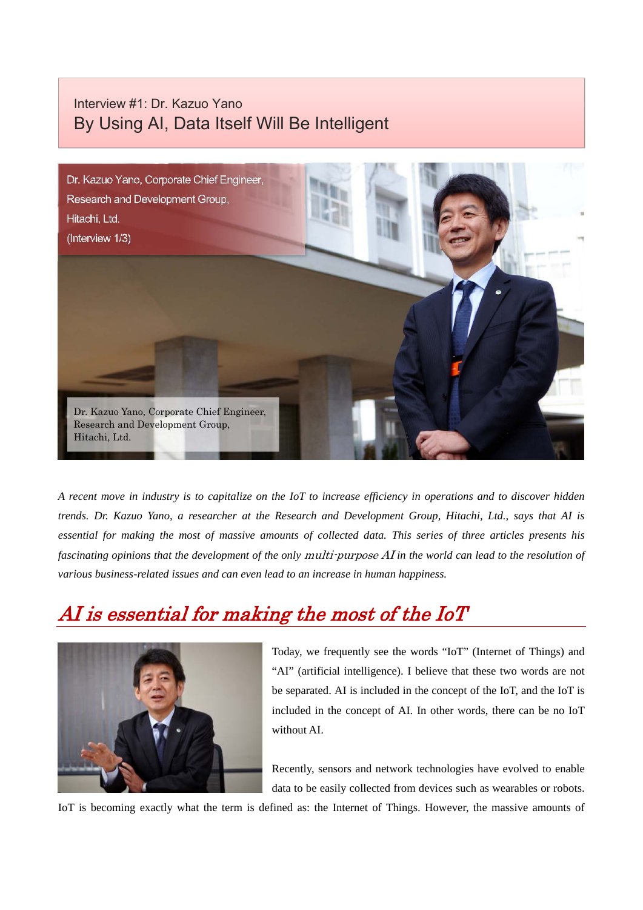#### Interview #1: Dr. Kazuo Yano By Using AI, Data Itself Will Be Intelligent



*A recent move in industry is to capitalize on the IoT to increase efficiency in operations and to discover hidden trends. Dr. Kazuo Yano, a researcher at the Research and Development Group, Hitachi, Ltd., says that AI is essential for making the most of massive amounts of collected data. This series of three articles presents his fascinating opinions that the development of the only* multi-purpose AI *in the world can lead to the resolution of various business-related issues and can even lead to an increase in human happiness.* 

# AI is essential for making the most of the IoT



Today, we frequently see the words "IoT" (Internet of Things) and "AI" (artificial intelligence). I believe that these two words are not be separated. AI is included in the concept of the IoT, and the IoT is included in the concept of AI. In other words, there can be no IoT without AI

Recently, sensors and network technologies have evolved to enable data to be easily collected from devices such as wearables or robots.

IoT is becoming exactly what the term is defined as: the Internet of Things. However, the massive amounts of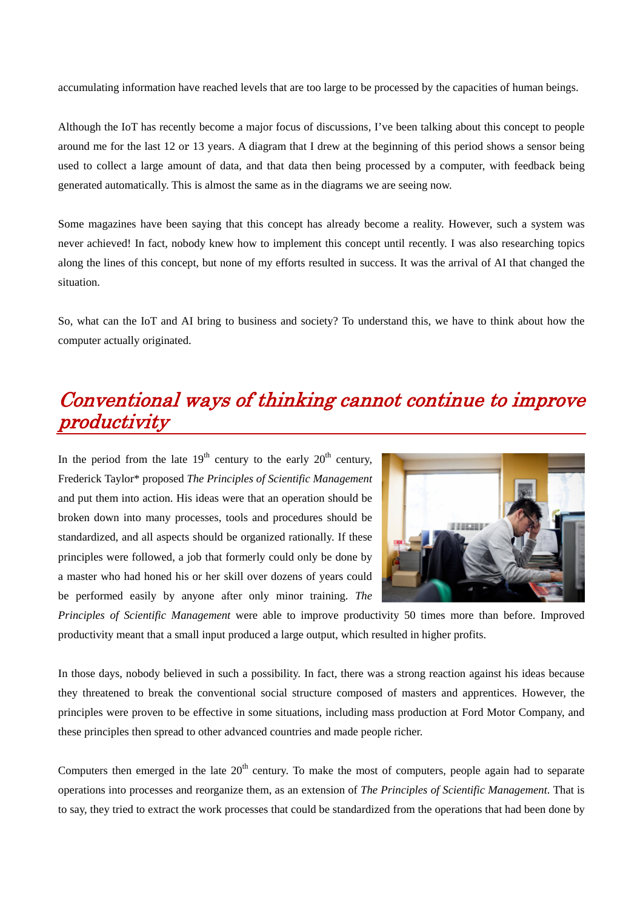accumulating information have reached levels that are too large to be processed by the capacities of human beings.

Although the IoT has recently become a major focus of discussions, I've been talking about this concept to people around me for the last 12 or 13 years. A diagram that I drew at the beginning of this period shows a sensor being used to collect a large amount of data, and that data then being processed by a computer, with feedback being generated automatically. This is almost the same as in the diagrams we are seeing now.

Some magazines have been saying that this concept has already become a reality. However, such a system was never achieved! In fact, nobody knew how to implement this concept until recently. I was also researching topics along the lines of this concept, but none of my efforts resulted in success. It was the arrival of AI that changed the situation.

So, what can the IoT and AI bring to business and society? To understand this, we have to think about how the computer actually originated.

### Conventional ways of thinking cannot continue to improve productivity

In the period from the late  $19<sup>th</sup>$  century to the early  $20<sup>th</sup>$  century, Frederick Taylor\* proposed *The Principles of Scientific Management* and put them into action. His ideas were that an operation should be broken down into many processes, tools and procedures should be standardized, and all aspects should be organized rationally. If these principles were followed, a job that formerly could only be done by a master who had honed his or her skill over dozens of years could be performed easily by anyone after only minor training. *The* 



*Principles of Scientific Management* were able to improve productivity 50 times more than before. Improved productivity meant that a small input produced a large output, which resulted in higher profits.

In those days, nobody believed in such a possibility. In fact, there was a strong reaction against his ideas because they threatened to break the conventional social structure composed of masters and apprentices. However, the principles were proven to be effective in some situations, including mass production at Ford Motor Company, and these principles then spread to other advanced countries and made people richer.

Computers then emerged in the late  $20<sup>th</sup>$  century. To make the most of computers, people again had to separate operations into processes and reorganize them, as an extension of *The Principles of Scientific Management*. That is to say, they tried to extract the work processes that could be standardized from the operations that had been done by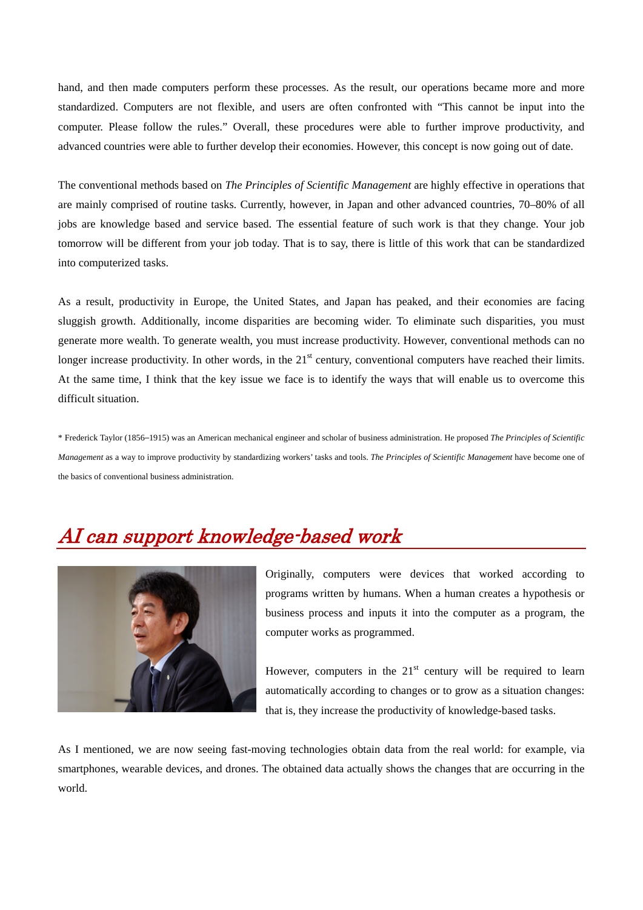hand, and then made computers perform these processes. As the result, our operations became more and more standardized. Computers are not flexible, and users are often confronted with "This cannot be input into the computer. Please follow the rules." Overall, these procedures were able to further improve productivity, and advanced countries were able to further develop their economies. However, this concept is now going out of date.

The conventional methods based on *The Principles of Scientific Management* are highly effective in operations that are mainly comprised of routine tasks. Currently, however, in Japan and other advanced countries, 70–80% of all jobs are knowledge based and service based. The essential feature of such work is that they change. Your job tomorrow will be different from your job today. That is to say, there is little of this work that can be standardized into computerized tasks.

As a result, productivity in Europe, the United States, and Japan has peaked, and their economies are facing sluggish growth. Additionally, income disparities are becoming wider. To eliminate such disparities, you must generate more wealth. To generate wealth, you must increase productivity. However, conventional methods can no longer increase productivity. In other words, in the  $21<sup>st</sup>$  century, conventional computers have reached their limits. At the same time, I think that the key issue we face is to identify the ways that will enable us to overcome this difficult situation.

\* Frederick Taylor (1856–1915) was an American mechanical engineer and scholar of business administration. He proposed *The Principles of Scientific Management* as a way to improve productivity by standardizing workers' tasks and tools. *The Principles of Scientific Management* have become one of the basics of conventional business administration.

## AI can support knowledge-based work



Originally, computers were devices that worked according to programs written by humans. When a human creates a hypothesis or business process and inputs it into the computer as a program, the computer works as programmed.

However, computers in the  $21<sup>st</sup>$  century will be required to learn automatically according to changes or to grow as a situation changes: that is, they increase the productivity of knowledge-based tasks.

As I mentioned, we are now seeing fast-moving technologies obtain data from the real world: for example, via smartphones, wearable devices, and drones. The obtained data actually shows the changes that are occurring in the world.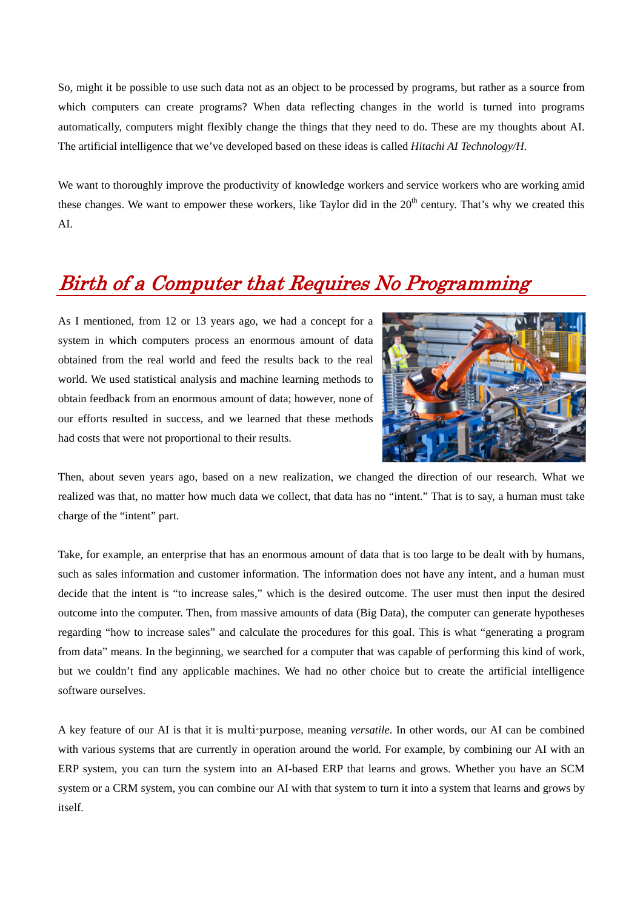So, might it be possible to use such data not as an object to be processed by programs, but rather as a source from which computers can create programs? When data reflecting changes in the world is turned into programs automatically, computers might flexibly change the things that they need to do. These are my thoughts about AI. The artificial intelligence that we've developed based on these ideas is called *Hitachi AI Technology/H*.

We want to thoroughly improve the productivity of knowledge workers and service workers who are working amid these changes. We want to empower these workers, like Taylor did in the  $20<sup>th</sup>$  century. That's why we created this AI.

## Birth of a Computer that Requires No Programming

As I mentioned, from 12 or 13 years ago, we had a concept for a system in which computers process an enormous amount of data obtained from the real world and feed the results back to the real world. We used statistical analysis and machine learning methods to obtain feedback from an enormous amount of data; however, none of our efforts resulted in success, and we learned that these methods had costs that were not proportional to their results.



Then, about seven years ago, based on a new realization, we changed the direction of our research. What we realized was that, no matter how much data we collect, that data has no "intent." That is to say, a human must take charge of the "intent" part.

Take, for example, an enterprise that has an enormous amount of data that is too large to be dealt with by humans, such as sales information and customer information. The information does not have any intent, and a human must decide that the intent is "to increase sales," which is the desired outcome. The user must then input the desired outcome into the computer. Then, from massive amounts of data (Big Data), the computer can generate hypotheses regarding "how to increase sales" and calculate the procedures for this goal. This is what "generating a program from data" means. In the beginning, we searched for a computer that was capable of performing this kind of work, but we couldn't find any applicable machines. We had no other choice but to create the artificial intelligence software ourselves.

A key feature of our AI is that it is multi-purpose, meaning *versatile*. In other words, our AI can be combined with various systems that are currently in operation around the world. For example, by combining our AI with an ERP system, you can turn the system into an AI-based ERP that learns and grows. Whether you have an SCM system or a CRM system, you can combine our AI with that system to turn it into a system that learns and grows by itself.